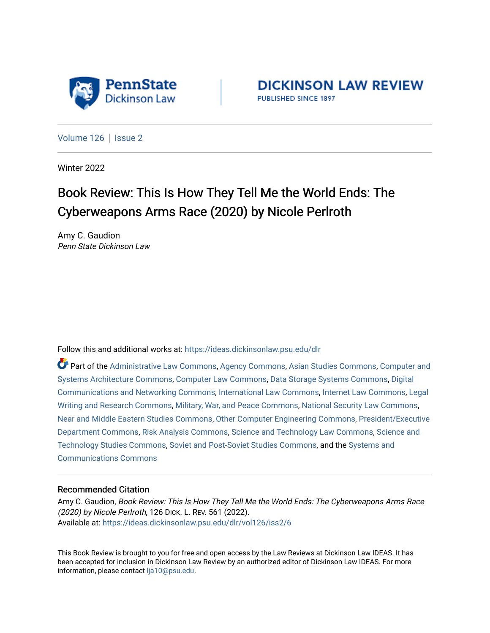

**DICKINSON LAW REVIEW** PUBLISHED SINCE 1897

[Volume 126](https://ideas.dickinsonlaw.psu.edu/dlr/vol126) | [Issue 2](https://ideas.dickinsonlaw.psu.edu/dlr/vol126/iss2)

Winter 2022

## Book Review: This Is How They Tell Me the World Ends: The Cyberweapons Arms Race (2020) by Nicole Perlroth

Amy C. Gaudion Penn State Dickinson Law

Follow this and additional works at: [https://ideas.dickinsonlaw.psu.edu/dlr](https://ideas.dickinsonlaw.psu.edu/dlr?utm_source=ideas.dickinsonlaw.psu.edu%2Fdlr%2Fvol126%2Fiss2%2F6&utm_medium=PDF&utm_campaign=PDFCoverPages) 

Part of the [Administrative Law Commons,](http://network.bepress.com/hgg/discipline/579?utm_source=ideas.dickinsonlaw.psu.edu%2Fdlr%2Fvol126%2Fiss2%2F6&utm_medium=PDF&utm_campaign=PDFCoverPages) [Agency Commons,](http://network.bepress.com/hgg/discipline/829?utm_source=ideas.dickinsonlaw.psu.edu%2Fdlr%2Fvol126%2Fiss2%2F6&utm_medium=PDF&utm_campaign=PDFCoverPages) [Asian Studies Commons,](http://network.bepress.com/hgg/discipline/361?utm_source=ideas.dickinsonlaw.psu.edu%2Fdlr%2Fvol126%2Fiss2%2F6&utm_medium=PDF&utm_campaign=PDFCoverPages) [Computer and](http://network.bepress.com/hgg/discipline/259?utm_source=ideas.dickinsonlaw.psu.edu%2Fdlr%2Fvol126%2Fiss2%2F6&utm_medium=PDF&utm_campaign=PDFCoverPages) [Systems Architecture Commons,](http://network.bepress.com/hgg/discipline/259?utm_source=ideas.dickinsonlaw.psu.edu%2Fdlr%2Fvol126%2Fiss2%2F6&utm_medium=PDF&utm_campaign=PDFCoverPages) [Computer Law Commons](http://network.bepress.com/hgg/discipline/837?utm_source=ideas.dickinsonlaw.psu.edu%2Fdlr%2Fvol126%2Fiss2%2F6&utm_medium=PDF&utm_campaign=PDFCoverPages), [Data Storage Systems Commons,](http://network.bepress.com/hgg/discipline/261?utm_source=ideas.dickinsonlaw.psu.edu%2Fdlr%2Fvol126%2Fiss2%2F6&utm_medium=PDF&utm_campaign=PDFCoverPages) [Digital](http://network.bepress.com/hgg/discipline/262?utm_source=ideas.dickinsonlaw.psu.edu%2Fdlr%2Fvol126%2Fiss2%2F6&utm_medium=PDF&utm_campaign=PDFCoverPages) [Communications and Networking Commons](http://network.bepress.com/hgg/discipline/262?utm_source=ideas.dickinsonlaw.psu.edu%2Fdlr%2Fvol126%2Fiss2%2F6&utm_medium=PDF&utm_campaign=PDFCoverPages), [International Law Commons,](http://network.bepress.com/hgg/discipline/609?utm_source=ideas.dickinsonlaw.psu.edu%2Fdlr%2Fvol126%2Fiss2%2F6&utm_medium=PDF&utm_campaign=PDFCoverPages) [Internet Law Commons,](http://network.bepress.com/hgg/discipline/892?utm_source=ideas.dickinsonlaw.psu.edu%2Fdlr%2Fvol126%2Fiss2%2F6&utm_medium=PDF&utm_campaign=PDFCoverPages) [Legal](http://network.bepress.com/hgg/discipline/614?utm_source=ideas.dickinsonlaw.psu.edu%2Fdlr%2Fvol126%2Fiss2%2F6&utm_medium=PDF&utm_campaign=PDFCoverPages) [Writing and Research Commons,](http://network.bepress.com/hgg/discipline/614?utm_source=ideas.dickinsonlaw.psu.edu%2Fdlr%2Fvol126%2Fiss2%2F6&utm_medium=PDF&utm_campaign=PDFCoverPages) [Military, War, and Peace Commons,](http://network.bepress.com/hgg/discipline/861?utm_source=ideas.dickinsonlaw.psu.edu%2Fdlr%2Fvol126%2Fiss2%2F6&utm_medium=PDF&utm_campaign=PDFCoverPages) [National Security Law Commons](http://network.bepress.com/hgg/discipline/1114?utm_source=ideas.dickinsonlaw.psu.edu%2Fdlr%2Fvol126%2Fiss2%2F6&utm_medium=PDF&utm_campaign=PDFCoverPages), [Near and Middle Eastern Studies Commons](http://network.bepress.com/hgg/discipline/1308?utm_source=ideas.dickinsonlaw.psu.edu%2Fdlr%2Fvol126%2Fiss2%2F6&utm_medium=PDF&utm_campaign=PDFCoverPages), [Other Computer Engineering Commons](http://network.bepress.com/hgg/discipline/265?utm_source=ideas.dickinsonlaw.psu.edu%2Fdlr%2Fvol126%2Fiss2%2F6&utm_medium=PDF&utm_campaign=PDFCoverPages), [President/Executive](http://network.bepress.com/hgg/discipline/1118?utm_source=ideas.dickinsonlaw.psu.edu%2Fdlr%2Fvol126%2Fiss2%2F6&utm_medium=PDF&utm_campaign=PDFCoverPages) [Department Commons](http://network.bepress.com/hgg/discipline/1118?utm_source=ideas.dickinsonlaw.psu.edu%2Fdlr%2Fvol126%2Fiss2%2F6&utm_medium=PDF&utm_campaign=PDFCoverPages), [Risk Analysis Commons,](http://network.bepress.com/hgg/discipline/1199?utm_source=ideas.dickinsonlaw.psu.edu%2Fdlr%2Fvol126%2Fiss2%2F6&utm_medium=PDF&utm_campaign=PDFCoverPages) [Science and Technology Law Commons](http://network.bepress.com/hgg/discipline/875?utm_source=ideas.dickinsonlaw.psu.edu%2Fdlr%2Fvol126%2Fiss2%2F6&utm_medium=PDF&utm_campaign=PDFCoverPages), [Science and](http://network.bepress.com/hgg/discipline/435?utm_source=ideas.dickinsonlaw.psu.edu%2Fdlr%2Fvol126%2Fiss2%2F6&utm_medium=PDF&utm_campaign=PDFCoverPages)  [Technology Studies Commons,](http://network.bepress.com/hgg/discipline/435?utm_source=ideas.dickinsonlaw.psu.edu%2Fdlr%2Fvol126%2Fiss2%2F6&utm_medium=PDF&utm_campaign=PDFCoverPages) [Soviet and Post-Soviet Studies Commons,](http://network.bepress.com/hgg/discipline/364?utm_source=ideas.dickinsonlaw.psu.edu%2Fdlr%2Fvol126%2Fiss2%2F6&utm_medium=PDF&utm_campaign=PDFCoverPages) and the [Systems and](http://network.bepress.com/hgg/discipline/276?utm_source=ideas.dickinsonlaw.psu.edu%2Fdlr%2Fvol126%2Fiss2%2F6&utm_medium=PDF&utm_campaign=PDFCoverPages) [Communications Commons](http://network.bepress.com/hgg/discipline/276?utm_source=ideas.dickinsonlaw.psu.edu%2Fdlr%2Fvol126%2Fiss2%2F6&utm_medium=PDF&utm_campaign=PDFCoverPages) 

## Recommended Citation

Amy C. Gaudion, Book Review: This Is How They Tell Me the World Ends: The Cyberweapons Arms Race (2020) by Nicole Perlroth, 126 DICK. L. REV. 561 (2022). Available at: [https://ideas.dickinsonlaw.psu.edu/dlr/vol126/iss2/6](https://ideas.dickinsonlaw.psu.edu/dlr/vol126/iss2/6?utm_source=ideas.dickinsonlaw.psu.edu%2Fdlr%2Fvol126%2Fiss2%2F6&utm_medium=PDF&utm_campaign=PDFCoverPages)

This Book Review is brought to you for free and open access by the Law Reviews at Dickinson Law IDEAS. It has been accepted for inclusion in Dickinson Law Review by an authorized editor of Dickinson Law IDEAS. For more information, please contact [lja10@psu.edu.](mailto:lja10@psu.edu)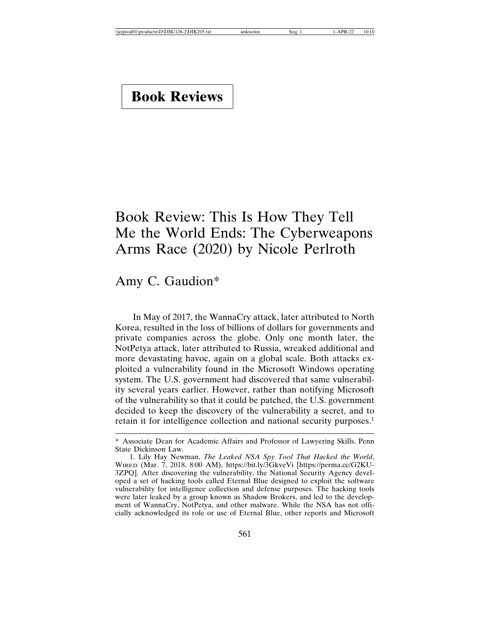## **Book Reviews**

## Book Review: This Is How They Tell Me the World Ends: The Cyberweapons Arms Race (2020) by Nicole Perlroth

Amy C. Gaudion\*

In May of 2017, the WannaCry attack, later attributed to North Korea, resulted in the loss of billions of dollars for governments and private companies across the globe. Only one month later, the NotPetya attack, later attributed to Russia, wreaked additional and more devastating havoc, again on a global scale. Both attacks exploited a vulnerability found in the Microsoft Windows operating system. The U.S. government had discovered that same vulnerability several years earlier. However, rather than notifying Microsoft of the vulnerability so that it could be patched, the U.S. government decided to keep the discovery of the vulnerability a secret, and to retain it for intelligence collection and national security purposes.<sup>1</sup>

<sup>\*</sup> Associate Dean for Academic Affairs and Professor of Lawyering Skills, Penn State Dickinson Law.

<sup>1.</sup> Lily Hay Newman, *The Leaked NSA Spy Tool That Hacked the World*, WIRED (Mar. 7, 2018, 8:00 AM), https://bit.ly/3GkveVi [https://perma.cc/G2KU-3ZPQ]. After discovering the vulnerability, the National Security Agency developed a set of hacking tools called Eternal Blue designed to exploit the software vulnerability for intelligence collection and defense purposes. The hacking tools were later leaked by a group known as Shadow Brokers, and led to the development of WannaCry, NotPetya, and other malware. While the NSA has not officially acknowledged its role or use of Eternal Blue, other reports and Microsoft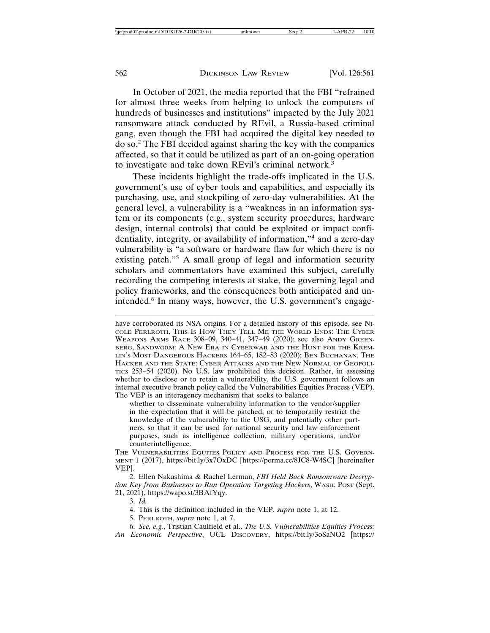In October of 2021, the media reported that the FBI "refrained for almost three weeks from helping to unlock the computers of hundreds of businesses and institutions" impacted by the July 2021 ransomware attack conducted by REvil, a Russia-based criminal gang, even though the FBI had acquired the digital key needed to do so.<sup>2</sup> The FBI decided against sharing the key with the companies affected, so that it could be utilized as part of an on-going operation to investigate and take down REvil's criminal network.<sup>3</sup>

These incidents highlight the trade-offs implicated in the U.S. government's use of cyber tools and capabilities, and especially its purchasing, use, and stockpiling of zero-day vulnerabilities. At the general level, a vulnerability is a "weakness in an information system or its components (e.g., system security procedures, hardware design, internal controls) that could be exploited or impact confidentiality, integrity, or availability of information,"<sup>4</sup> and a zero-day vulnerability is "a software or hardware flaw for which there is no existing patch."<sup>5</sup> A small group of legal and information security scholars and commentators have examined this subject, carefully recording the competing interests at stake, the governing legal and policy frameworks, and the consequences both anticipated and unintended.<sup>6</sup> In many ways, however, the U.S. government's engage-

have corroborated its NSA origins. For a detailed history of this episode, see NI-COLE PERLROTH, THIS IS HOW THEY TELL ME THE WORLD ENDS: THE CYBER WEAPONS ARMS RACE 308–09, 340–41, 347–49 (2020); see also ANDY GREEN-BERG, SANDWORM: A NEW ERA IN CYBERWAR AND THE HUNT FOR THE KREM-LIN'S MOST DANGEROUS HACKERS 164–65, 182–83 (2020); BEN BUCHANAN, THE HACKER AND THE STATE: CYBER ATTACKS AND THE NEW NORMAL OF GEOPOLI-TICS 253–54 (2020). No U.S. law prohibited this decision. Rather, in assessing whether to disclose or to retain a vulnerability, the U.S. government follows an internal executive branch policy called the Vulnerabilities Equities Process (VEP). The VEP is an interagency mechanism that seeks to balance

whether to disseminate vulnerability information to the vendor/supplier in the expectation that it will be patched, or to temporarily restrict the knowledge of the vulnerability to the USG, and potentially other partners, so that it can be used for national security and law enforcement purposes, such as intelligence collection, military operations, and/or counterintelligence.

THE VULNERABILITIES EQUITES POLICY AND PROCESS FOR THE U.S. GOVERN-MENT 1 (2017), https://bit.ly/3x7OxDC [https://perma.cc/8JC8-W4SC] [hereinafter VEP].

2. Ellen Nakashima & Rachel Lerman, *FBI Held Back Ransomware Decryption Key from Businesses to Run Operation Targeting Hackers*, WASH. POST (Sept. 21, 2021), https://wapo.st/3BAfYqy.

3. *Id.*

4. This is the definition included in the VEP, *supra* note 1, at 12.

5. PERLROTH, *supra* note 1, at 7.

6. *See, e.g.*, Tristian Caulfield et al., *The U.S. Vulnerabilities Equities Process: An Economic Perspective*, UCL DISCOVERY, https://bit.ly/3oSaNO2 [https://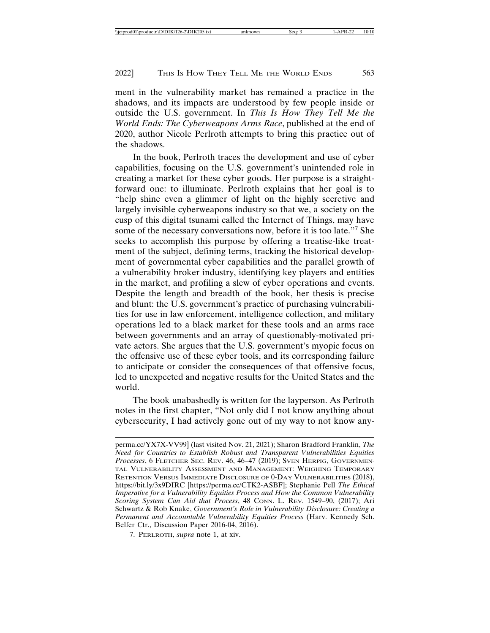ment in the vulnerability market has remained a practice in the shadows, and its impacts are understood by few people inside or outside the U.S. government. In *This Is How They Tell Me the World Ends: The Cyberweapons Arms Race*, published at the end of 2020, author Nicole Perlroth attempts to bring this practice out of the shadows.

In the book, Perlroth traces the development and use of cyber capabilities, focusing on the U.S. government's unintended role in creating a market for these cyber goods. Her purpose is a straightforward one: to illuminate. Perlroth explains that her goal is to "help shine even a glimmer of light on the highly secretive and largely invisible cyberweapons industry so that we, a society on the cusp of this digital tsunami called the Internet of Things, may have some of the necessary conversations now, before it is too late."<sup>7</sup> She seeks to accomplish this purpose by offering a treatise-like treatment of the subject, defining terms, tracking the historical development of governmental cyber capabilities and the parallel growth of a vulnerability broker industry, identifying key players and entities in the market, and profiling a slew of cyber operations and events. Despite the length and breadth of the book, her thesis is precise and blunt: the U.S. government's practice of purchasing vulnerabilities for use in law enforcement, intelligence collection, and military operations led to a black market for these tools and an arms race between governments and an array of questionably-motivated private actors. She argues that the U.S. government's myopic focus on the offensive use of these cyber tools, and its corresponding failure to anticipate or consider the consequences of that offensive focus, led to unexpected and negative results for the United States and the world.

The book unabashedly is written for the layperson. As Perlroth notes in the first chapter, "Not only did I not know anything about cybersecurity, I had actively gone out of my way to not know any-

perma.cc/YX7X-VV99] (last visited Nov. 21, 2021); Sharon Bradford Franklin, *The Need for Countries to Establish Robust and Transparent Vulnerabilities Equities Processes*, 6 FLETCHER SEC. REV. 46, 46–47 (2019); SVEN HERPIG, GOVERNMEN-TAL VULNERABILITY ASSESSMENT AND MANAGEMENT: WEIGHING TEMPORARY RETENTION VERSUS IMMEDIATE DISCLOSURE OF 0-DAY VULNERABILITIES (2018), https://bit.ly/3x9DIRC [https://perma.cc/CTK2-ASBF]; Stephanie Pell *The Ethical Imperative for a Vulnerability Equities Process and How the Common Vulnerability Scoring System Can Aid that Process*, 48 CONN. L. REV. 1549–90, (2017); Ari Schwartz & Rob Knake, *Government's Role in Vulnerability Disclosure: Creating a Permanent and Accountable Vulnerability Equities Process* (Harv. Kennedy Sch. Belfer Ctr., Discussion Paper 2016-04, 2016).

<sup>7.</sup> PERLROTH, *supra* note 1, at xiv.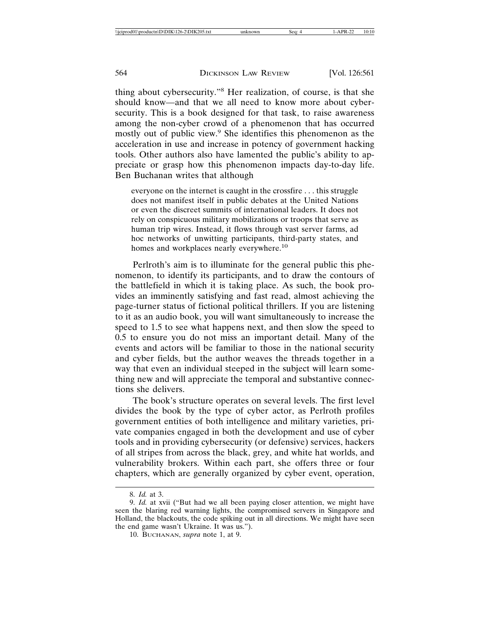thing about cybersecurity."<sup>8</sup> Her realization, of course, is that she should know—and that we all need to know more about cybersecurity. This is a book designed for that task, to raise awareness among the non-cyber crowd of a phenomenon that has occurred mostly out of public view.<sup>9</sup> She identifies this phenomenon as the acceleration in use and increase in potency of government hacking tools. Other authors also have lamented the public's ability to appreciate or grasp how this phenomenon impacts day-to-day life. Ben Buchanan writes that although

everyone on the internet is caught in the crossfire . . . this struggle does not manifest itself in public debates at the United Nations or even the discreet summits of international leaders. It does not rely on conspicuous military mobilizations or troops that serve as human trip wires. Instead, it flows through vast server farms, ad hoc networks of unwitting participants, third-party states, and homes and workplaces nearly everywhere.<sup>10</sup>

Perlroth's aim is to illuminate for the general public this phenomenon, to identify its participants, and to draw the contours of the battlefield in which it is taking place. As such, the book provides an imminently satisfying and fast read, almost achieving the page-turner status of fictional political thrillers. If you are listening to it as an audio book, you will want simultaneously to increase the speed to 1.5 to see what happens next, and then slow the speed to 0.5 to ensure you do not miss an important detail. Many of the events and actors will be familiar to those in the national security and cyber fields, but the author weaves the threads together in a way that even an individual steeped in the subject will learn something new and will appreciate the temporal and substantive connections she delivers.

The book's structure operates on several levels. The first level divides the book by the type of cyber actor, as Perlroth profiles government entities of both intelligence and military varieties, private companies engaged in both the development and use of cyber tools and in providing cybersecurity (or defensive) services, hackers of all stripes from across the black, grey, and white hat worlds, and vulnerability brokers. Within each part, she offers three or four chapters, which are generally organized by cyber event, operation,

<sup>8.</sup> *Id.* at 3.

<sup>9.</sup> *Id.* at xvii ("But had we all been paying closer attention, we might have seen the blaring red warning lights, the compromised servers in Singapore and Holland, the blackouts, the code spiking out in all directions. We might have seen the end game wasn't Ukraine. It was us.").

<sup>10.</sup> BUCHANAN, *supra* note 1, at 9.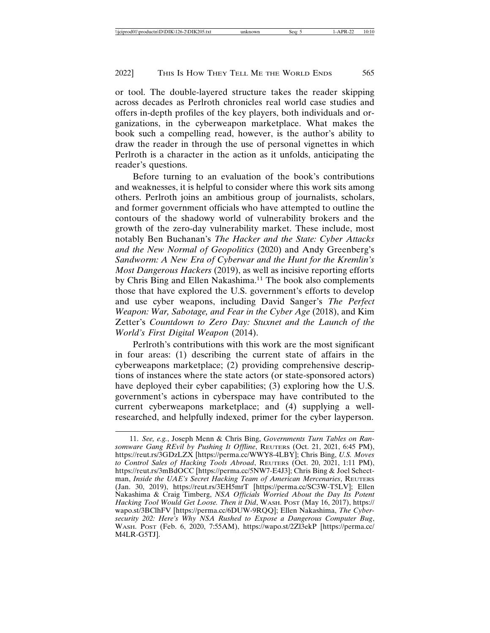or tool. The double-layered structure takes the reader skipping across decades as Perlroth chronicles real world case studies and offers in-depth profiles of the key players, both individuals and organizations, in the cyberweapon marketplace. What makes the book such a compelling read, however, is the author's ability to draw the reader in through the use of personal vignettes in which Perlroth is a character in the action as it unfolds, anticipating the reader's questions.

Before turning to an evaluation of the book's contributions and weaknesses, it is helpful to consider where this work sits among others. Perlroth joins an ambitious group of journalists, scholars, and former government officials who have attempted to outline the contours of the shadowy world of vulnerability brokers and the growth of the zero-day vulnerability market. These include, most notably Ben Buchanan's *The Hacker and the State: Cyber Attacks and the New Normal of Geopolitics* (2020) and Andy Greenberg's *Sandworm: A New Era of Cyberwar and the Hunt for the Kremlin's Most Dangerous Hackers* (2019), as well as incisive reporting efforts by Chris Bing and Ellen Nakashima.<sup>11</sup> The book also complements those that have explored the U.S. government's efforts to develop and use cyber weapons, including David Sanger's *The Perfect Weapon: War, Sabotage, and Fear in the Cyber Age* (2018), and Kim Zetter's *Countdown to Zero Day: Stuxnet and the Launch of the World's First Digital Weapon* (2014).

Perlroth's contributions with this work are the most significant in four areas: (1) describing the current state of affairs in the cyberweapons marketplace; (2) providing comprehensive descriptions of instances where the state actors (or state-sponsored actors) have deployed their cyber capabilities; (3) exploring how the U.S. government's actions in cyberspace may have contributed to the current cyberweapons marketplace; and (4) supplying a wellresearched, and helpfully indexed, primer for the cyber layperson.

<sup>11.</sup> *See, e.g.*, Joseph Menn & Chris Bing, *Governments Turn Tables on Ransomware Gang REvil by Pushing It Offline*, REUTERS (Oct. 21, 2021, 6:45 PM), https://reut.rs/3GDzLZX [https://perma.cc/WWY8-4LBY]; Chris Bing, *U.S. Moves to Control Sales of Hacking Tools Abroad*, REUTERS (Oct. 20, 2021, 1:11 PM), https://reut.rs/3mBdOCC [https://perma.cc/5NW7-E4J3]; Chris Bing & Joel Schectman, *Inside the UAE's Secret Hacking Team of American Mercenaries*, REUTERS (Jan. 30, 2019), https://reut.rs/3EH5mrT [https://perma.cc/SC3W-T5LV]; Ellen Nakashima & Craig Timberg, *NSA Officials Worried About the Day Its Potent Hacking Tool Would Get Loose. Then it Did*, WASH. POST (May 16, 2017), https:// wapo.st/3BClhFV [https://perma.cc/6DUW-9RQQ]; Ellen Nakashima, *The Cybersecurity 202: Here's Why NSA Rushed to Expose a Dangerous Computer Bug*, WASH. POST (Feb. 6, 2020, 7:55AM), https://wapo.st/2Zl3ekP [https://perma.cc/ M4LR-G5TJ].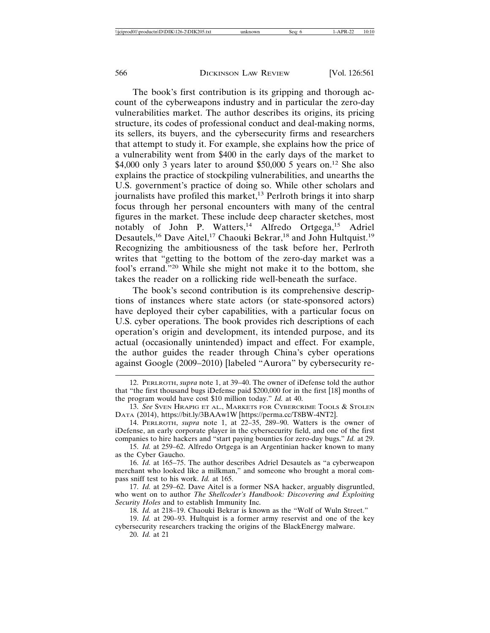The book's first contribution is its gripping and thorough account of the cyberweapons industry and in particular the zero-day vulnerabilities market. The author describes its origins, its pricing structure, its codes of professional conduct and deal-making norms, its sellers, its buyers, and the cybersecurity firms and researchers that attempt to study it. For example, she explains how the price of a vulnerability went from \$400 in the early days of the market to \$4,000 only 3 years later to around \$50,000 5 years on.<sup>12</sup> She also explains the practice of stockpiling vulnerabilities, and unearths the U.S. government's practice of doing so. While other scholars and journalists have profiled this market, $^{13}$  Perlroth brings it into sharp focus through her personal encounters with many of the central figures in the market. These include deep character sketches, most notably of John P. Watters,<sup>14</sup> Alfredo Ortgega,<sup>15</sup> Adriel Desautels,<sup>16</sup> Dave Aitel,<sup>17</sup> Chaouki Bekrar,<sup>18</sup> and John Hultquist.<sup>19</sup> Recognizing the ambitiousness of the task before her, Perlroth writes that "getting to the bottom of the zero-day market was a fool's errand."20 While she might not make it to the bottom, she takes the reader on a rollicking ride well-beneath the surface.

The book's second contribution is its comprehensive descriptions of instances where state actors (or state-sponsored actors) have deployed their cyber capabilities, with a particular focus on U.S. cyber operations. The book provides rich descriptions of each operation's origin and development, its intended purpose, and its actual (occasionally unintended) impact and effect. For example, the author guides the reader through China's cyber operations against Google (2009–2010) [labeled "Aurora" by cybersecurity re-

17. *Id.* at 259–62. Dave Aitel is a former NSA hacker, arguably disgruntled, who went on to author *The Shellcoder's Handbook: Discovering and Exploiting Security Holes* and to establish Immunity Inc.

18. *Id.* at 218–19. Chaouki Bekrar is known as the "Wolf of Wuln Street."

19. *Id.* at 290–93. Hultquist is a former army reservist and one of the key cybersecurity researchers tracking the origins of the BlackEnergy malware.

20. *Id.* at 21

<sup>12.</sup> PERLROTH, *supra* note 1, at 39–40. The owner of iDefense told the author that "the first thousand bugs iDefense paid \$200,000 for in the first [18] months of the program would have cost \$10 million today." *Id.* at 40.

<sup>13.</sup> *See* SVEN HRAPIG ET AL., MARKETS FOR CYBERCRIME TOOLS & STOLEN DATA (2014), https://bit.ly/3BAAw1W [https://perma.cc/T8BW-4NT2].

<sup>14.</sup> PERLROTH, *supra* note 1, at 22–35, 289–90. Watters is the owner of iDefense, an early corporate player in the cybersecurity field, and one of the first companies to hire hackers and "start paying bounties for zero-day bugs." *Id.* at 29.

<sup>15.</sup> *Id.* at 259–62. Alfredo Ortgega is an Argentinian hacker known to many as the Cyber Gaucho.

<sup>16.</sup> *Id.* at 165–75. The author describes Adriel Desautels as "a cyberweapon merchant who looked like a milkman," and someone who brought a moral compass sniff test to his work. *Id.* at 165.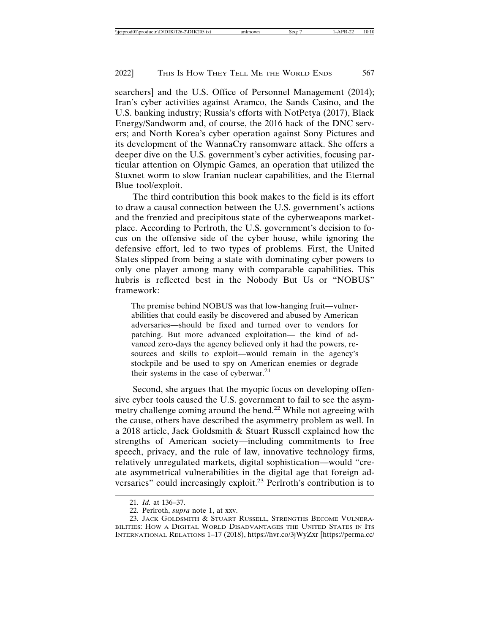searchers] and the U.S. Office of Personnel Management (2014); Iran's cyber activities against Aramco, the Sands Casino, and the U.S. banking industry; Russia's efforts with NotPetya (2017), Black Energy/Sandworm and, of course, the 2016 hack of the DNC servers; and North Korea's cyber operation against Sony Pictures and its development of the WannaCry ransomware attack. She offers a deeper dive on the U.S. government's cyber activities, focusing particular attention on Olympic Games, an operation that utilized the Stuxnet worm to slow Iranian nuclear capabilities, and the Eternal Blue tool/exploit.

The third contribution this book makes to the field is its effort to draw a causal connection between the U.S. government's actions and the frenzied and precipitous state of the cyberweapons marketplace. According to Perlroth, the U.S. government's decision to focus on the offensive side of the cyber house, while ignoring the defensive effort, led to two types of problems. First, the United States slipped from being a state with dominating cyber powers to only one player among many with comparable capabilities. This hubris is reflected best in the Nobody But Us or "NOBUS" framework:

The premise behind NOBUS was that low-hanging fruit—vulnerabilities that could easily be discovered and abused by American adversaries—should be fixed and turned over to vendors for patching. But more advanced exploitation— the kind of advanced zero-days the agency believed only it had the powers, resources and skills to exploit—would remain in the agency's stockpile and be used to spy on American enemies or degrade their systems in the case of cyberwar.<sup>21</sup>

Second, she argues that the myopic focus on developing offensive cyber tools caused the U.S. government to fail to see the asymmetry challenge coming around the bend.22 While not agreeing with the cause, others have described the asymmetry problem as well. In a 2018 article, Jack Goldsmith & Stuart Russell explained how the strengths of American society—including commitments to free speech, privacy, and the rule of law, innovative technology firms, relatively unregulated markets, digital sophistication—would "create asymmetrical vulnerabilities in the digital age that foreign adversaries" could increasingly exploit.23 Perlroth's contribution is to

<sup>21.</sup> *Id.* at 136–37.

<sup>22.</sup> Perlroth, *supra* note 1, at xxv.

<sup>23.</sup> JACK GOLDSMITH & STUART RUSSELL, STRENGTHS BECOME VULNERA-BILITIES: HOW A DIGITAL WORLD DISADVANTAGES THE UNITED STATES IN ITS INTERNATIONAL RELATIONS 1–17 (2018), https://hvr.co/3jWyZxr [https://perma.cc/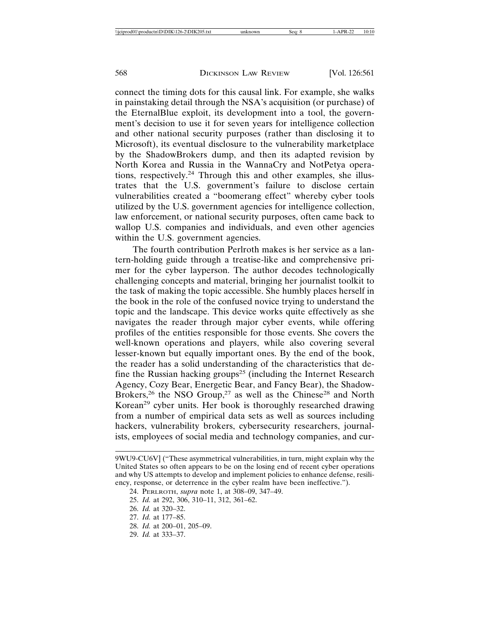connect the timing dots for this causal link. For example, she walks in painstaking detail through the NSA's acquisition (or purchase) of the EternalBlue exploit, its development into a tool, the government's decision to use it for seven years for intelligence collection and other national security purposes (rather than disclosing it to Microsoft), its eventual disclosure to the vulnerability marketplace by the ShadowBrokers dump, and then its adapted revision by North Korea and Russia in the WannaCry and NotPetya operations, respectively.24 Through this and other examples, she illustrates that the U.S. government's failure to disclose certain vulnerabilities created a "boomerang effect" whereby cyber tools utilized by the U.S. government agencies for intelligence collection, law enforcement, or national security purposes, often came back to wallop U.S. companies and individuals, and even other agencies within the U.S. government agencies.

The fourth contribution Perlroth makes is her service as a lantern-holding guide through a treatise-like and comprehensive primer for the cyber layperson. The author decodes technologically challenging concepts and material, bringing her journalist toolkit to the task of making the topic accessible. She humbly places herself in the book in the role of the confused novice trying to understand the topic and the landscape. This device works quite effectively as she navigates the reader through major cyber events, while offering profiles of the entities responsible for those events. She covers the well-known operations and players, while also covering several lesser-known but equally important ones. By the end of the book, the reader has a solid understanding of the characteristics that define the Russian hacking groups<sup>25</sup> (including the Internet Research Agency, Cozy Bear, Energetic Bear, and Fancy Bear), the Shadow-Brokers,<sup>26</sup> the NSO Group,<sup>27</sup> as well as the Chinese<sup>28</sup> and North Korean<sup>29</sup> cyber units. Her book is thoroughly researched drawing from a number of empirical data sets as well as sources including hackers, vulnerability brokers, cybersecurity researchers, journalists, employees of social media and technology companies, and cur-

- 28. *Id.* at 200–01, 205–09.
- 29. *Id.* at 333–37.

<sup>9</sup>WU9-CU6V] ("These asymmetrical vulnerabilities, in turn, might explain why the United States so often appears to be on the losing end of recent cyber operations and why US attempts to develop and implement policies to enhance defense, resiliency, response, or deterrence in the cyber realm have been ineffective.").

<sup>24.</sup> PERLROTH, *supra* note 1, at 308–09, 347–49.

<sup>25.</sup> *Id.* at 292, 306, 310–11, 312, 361–62.

<sup>26.</sup> *Id.* at 320–32.

<sup>27.</sup> *Id.* at 177–85.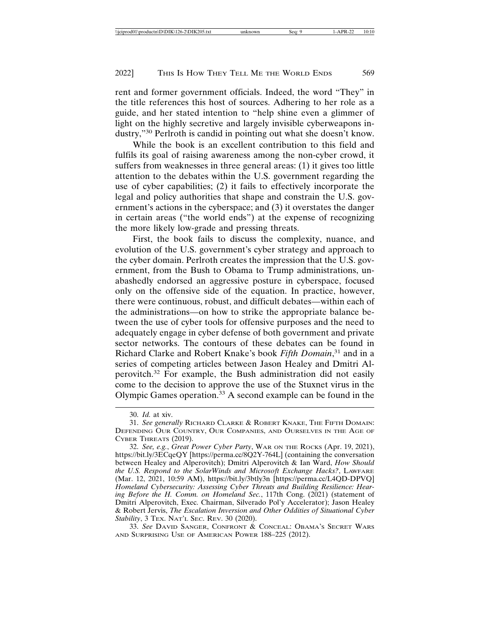rent and former government officials. Indeed, the word "They" in the title references this host of sources. Adhering to her role as a guide, and her stated intention to "help shine even a glimmer of light on the highly secretive and largely invisible cyberweapons industry,"30 Perlroth is candid in pointing out what she doesn't know.

While the book is an excellent contribution to this field and fulfils its goal of raising awareness among the non-cyber crowd, it suffers from weaknesses in three general areas: (1) it gives too little attention to the debates within the U.S. government regarding the use of cyber capabilities; (2) it fails to effectively incorporate the legal and policy authorities that shape and constrain the U.S. government's actions in the cyberspace; and (3) it overstates the danger in certain areas ("the world ends") at the expense of recognizing the more likely low-grade and pressing threats.

First, the book fails to discuss the complexity, nuance, and evolution of the U.S. government's cyber strategy and approach to the cyber domain. Perlroth creates the impression that the U.S. government, from the Bush to Obama to Trump administrations, unabashedly endorsed an aggressive posture in cyberspace, focused only on the offensive side of the equation. In practice, however, there were continuous, robust, and difficult debates—within each of the administrations—on how to strike the appropriate balance between the use of cyber tools for offensive purposes and the need to adequately engage in cyber defense of both government and private sector networks. The contours of these debates can be found in Richard Clarke and Robert Knake's book *Fifth Domain*, 31 and in a series of competing articles between Jason Healey and Dmitri Alperovitch.32 For example, the Bush administration did not easily come to the decision to approve the use of the Stuxnet virus in the Olympic Games operation.33 A second example can be found in the

<sup>30.</sup> *Id.* at xiv.

<sup>31.</sup> *See generally* RICHARD CLARKE & ROBERT KNAKE, THE FIFTH DOMAIN: DEFENDING OUR COUNTRY, OUR COMPANIES, AND OURSELVES IN THE AGE OF CYBER THREATS (2019).

<sup>32.</sup> *See, e.g.*, *Great Power Cyber Party*, WAR ON THE ROCKS (Apr. 19, 2021), https://bit.ly/3ECqeQY [https://perma.cc/8Q2Y-764L] (containing the conversation between Healey and Alperovitch); Dmitri Alperovitch & Ian Ward, *How Should the U.S. Respond to the SolarWinds and Microsoft Exchange Hacks?*, LAWFARE (Mar. 12, 2021, 10:59 AM), https://bit.ly/3btly3n [https://perma.cc/L4QD-DPVQ] *Homeland Cybersecurity: Assessing Cyber Threats and Building Resilience: Hearing Before the H. Comm. on Homeland Sec.*, 117th Cong. (2021) (statement of Dmitri Alperovitch, Exec. Chairman, Silverado Pol'y Accelerator); Jason Healey & Robert Jervis, *The Escalation Inversion and Other Oddities of Situational Cyber Stability*, 3 TEX. NAT'L SEC. REV. 30 (2020).

<sup>33.</sup> *See* DAVID SANGER, CONFRONT & CONCEAL: OBAMA'S SECRET WARS AND SURPRISING USE OF AMERICAN POWER 188–225 (2012).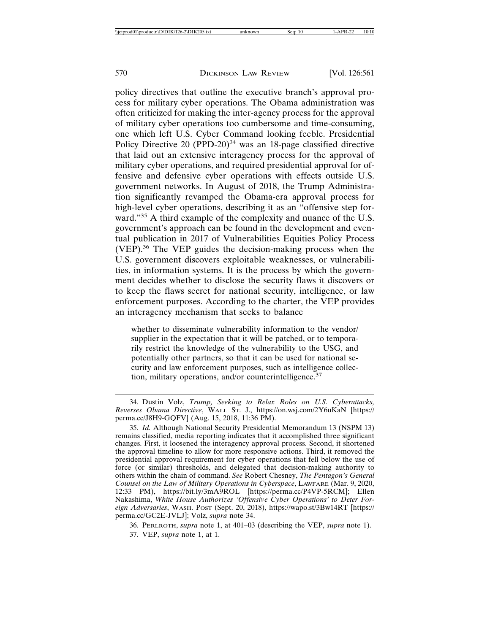policy directives that outline the executive branch's approval process for military cyber operations. The Obama administration was often criticized for making the inter-agency process for the approval of military cyber operations too cumbersome and time-consuming, one which left U.S. Cyber Command looking feeble. Presidential Policy Directive 20 (PPD-20) $34$  was an 18-page classified directive that laid out an extensive interagency process for the approval of military cyber operations, and required presidential approval for offensive and defensive cyber operations with effects outside U.S. government networks. In August of 2018, the Trump Administration significantly revamped the Obama-era approval process for high-level cyber operations, describing it as an "offensive step forward."<sup>35</sup> A third example of the complexity and nuance of the U.S. government's approach can be found in the development and eventual publication in 2017 of Vulnerabilities Equities Policy Process (VEP).36 The VEP guides the decision-making process when the U.S. government discovers exploitable weaknesses, or vulnerabilities, in information systems. It is the process by which the government decides whether to disclose the security flaws it discovers or to keep the flaws secret for national security, intelligence, or law enforcement purposes. According to the charter, the VEP provides an interagency mechanism that seeks to balance

whether to disseminate vulnerability information to the vendor/ supplier in the expectation that it will be patched, or to temporarily restrict the knowledge of the vulnerability to the USG, and potentially other partners, so that it can be used for national security and law enforcement purposes, such as intelligence collection, military operations, and/or counterintelligence.<sup>37</sup>

<sup>34.</sup> Dustin Volz, *Trump, Seeking to Relax Roles on U.S. Cyberattacks, Reverses Obama Directive*, WALL ST. J., https://on.wsj.com/2Y6uKaN [https:// perma.cc/J8H9-GQFV] (Aug. 15, 2018, 11:36 PM).

<sup>35.</sup> *Id.* Although National Security Presidential Memorandum 13 (NSPM 13) remains classified, media reporting indicates that it accomplished three significant changes. First, it loosened the interagency approval process. Second, it shortened the approval timeline to allow for more responsive actions. Third, it removed the presidential approval requirement for cyber operations that fell below the use of force (or similar) thresholds, and delegated that decision-making authority to others within the chain of command. *See* Robert Chesney, *The Pentagon's General Counsel on the Law of Military Operations in Cyberspace*, LAWFARE (Mar. 9, 2020, 12:33 PM), https://bit.ly/3mA9ROL [https://perma.cc/P4VP-5RCM]; Ellen Nakashima, *White House Authorizes 'Offensive Cyber Operations' to Deter Foreign Adversaries*, WASH. POST (Sept. 20, 2018), https://wapo.st/3Bw14RT [https:// perma.cc/GC2E-JVLJ]; Volz, *supra* note 34.

<sup>36.</sup> PERLROTH, *supra* note 1, at 401–03 (describing the VEP, *supra* note 1). 37. VEP, *supra* note 1, at 1.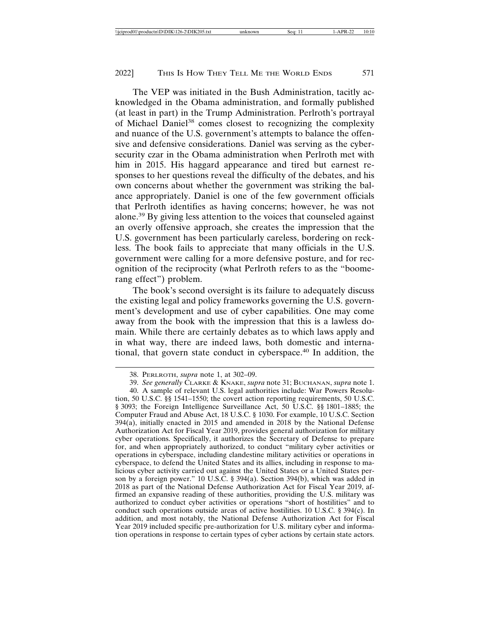The VEP was initiated in the Bush Administration, tacitly acknowledged in the Obama administration, and formally published (at least in part) in the Trump Administration. Perlroth's portrayal of Michael Daniel<sup>38</sup> comes closest to recognizing the complexity and nuance of the U.S. government's attempts to balance the offensive and defensive considerations. Daniel was serving as the cybersecurity czar in the Obama administration when Perlroth met with him in 2015. His haggard appearance and tired but earnest responses to her questions reveal the difficulty of the debates, and his own concerns about whether the government was striking the balance appropriately. Daniel is one of the few government officials that Perlroth identifies as having concerns; however, he was not alone.39 By giving less attention to the voices that counseled against an overly offensive approach, she creates the impression that the U.S. government has been particularly careless, bordering on reckless. The book fails to appreciate that many officials in the U.S. government were calling for a more defensive posture, and for recognition of the reciprocity (what Perlroth refers to as the "boomerang effect") problem.

The book's second oversight is its failure to adequately discuss the existing legal and policy frameworks governing the U.S. government's development and use of cyber capabilities. One may come away from the book with the impression that this is a lawless domain. While there are certainly debates as to which laws apply and in what way, there are indeed laws, both domestic and international, that govern state conduct in cyberspace.40 In addition, the

<sup>38.</sup> PERLROTH, *supra* note 1, at 302–09.

<sup>39.</sup> *See generally* CLARKE & KNAKE, *supra* note 31; BUCHANAN, *supra* note 1.

<sup>40.</sup> A sample of relevant U.S. legal authorities include: War Powers Resolution, 50 U.S.C. §§ 1541–1550; the covert action reporting requirements, 50 U.S.C. § 3093; the Foreign Intelligence Surveillance Act, 50 U.S.C. §§ 1801–1885; the Computer Fraud and Abuse Act, 18 U.S.C. § 1030. For example, 10 U.S.C. Section 394(a), initially enacted in 2015 and amended in 2018 by the National Defense Authorization Act for Fiscal Year 2019, provides general authorization for military cyber operations. Specifically, it authorizes the Secretary of Defense to prepare for, and when appropriately authorized, to conduct "military cyber activities or operations in cyberspace, including clandestine military activities or operations in cyberspace, to defend the United States and its allies, including in response to malicious cyber activity carried out against the United States or a United States person by a foreign power." 10 U.S.C. § 394(a). Section 394(b), which was added in 2018 as part of the National Defense Authorization Act for Fiscal Year 2019, affirmed an expansive reading of these authorities, providing the U.S. military was authorized to conduct cyber activities or operations "short of hostilities" and to conduct such operations outside areas of active hostilities. 10 U.S.C. § 394(c). In addition, and most notably, the National Defense Authorization Act for Fiscal Year 2019 included specific pre-authorization for U.S. military cyber and information operations in response to certain types of cyber actions by certain state actors.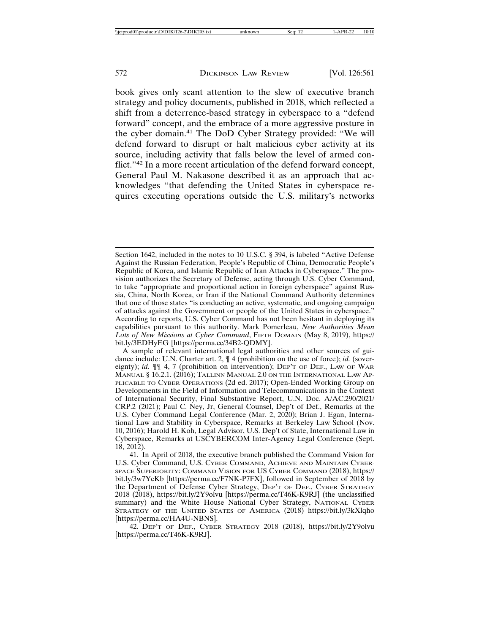book gives only scant attention to the slew of executive branch strategy and policy documents, published in 2018, which reflected a shift from a deterrence-based strategy in cyberspace to a "defend forward" concept, and the embrace of a more aggressive posture in the cyber domain.41 The DoD Cyber Strategy provided: "We will defend forward to disrupt or halt malicious cyber activity at its source, including activity that falls below the level of armed conflict."<sup>42</sup> In a more recent articulation of the defend forward concept, General Paul M. Nakasone described it as an approach that acknowledges "that defending the United States in cyberspace requires executing operations outside the U.S. military's networks

Section 1642, included in the notes to 10 U.S.C. § 394, is labeled "Active Defense Against the Russian Federation, People's Republic of China, Democratic People's Republic of Korea, and Islamic Republic of Iran Attacks in Cyberspace." The provision authorizes the Secretary of Defense, acting through U.S. Cyber Command, to take "appropriate and proportional action in foreign cyberspace" against Russia, China, North Korea, or Iran if the National Command Authority determines that one of those states "is conducting an active, systematic, and ongoing campaign of attacks against the Government or people of the United States in cyberspace." According to reports, U.S. Cyber Command has not been hesitant in deploying its capabilities pursuant to this authority. Mark Pomerleau, *New Authorities Mean Lots of New Missions at Cyber Command*, FIFTH DOMAIN (May 8, 2019), https:// bit.ly/3EDHyEG [https://perma.cc/34B2-QDMY].

A sample of relevant international legal authorities and other sources of guidance include: U.N. Charter art. 2,  $\P$  4 (prohibition on the use of force); *id.* (sovereignty); *id.* ¶¶ 4, 7 (prohibition on intervention); DEP'T OF DEF., LAW OF WAR MANUAL § 16.2.1. (2016); TALLINN MANUAL 2.0 ON THE INTERNATIONAL LAW AP-PLICABLE TO CYBER OPERATIONS (2d ed. 2017); Open-Ended Working Group on Developments in the Field of Information and Telecommunications in the Context of International Security, Final Substantive Report, U.N. Doc. A/AC.290/2021/ CRP.2 (2021); Paul C. Ney, Jr, General Counsel, Dep't of Def., Remarks at the U.S. Cyber Command Legal Conference (Mar. 2, 2020); Brian J. Egan, International Law and Stability in Cyberspace, Remarks at Berkeley Law School (Nov. 10, 2016); Harold H. Koh, Legal Advisor, U.S. Dep't of State, International Law in Cyberspace, Remarks at USCYBERCOM Inter-Agency Legal Conference (Sept. 18, 2012).

<sup>41.</sup> In April of 2018, the executive branch published the Command Vision for U.S. Cyber Command, U.S. CYBER COMMAND, ACHIEVE AND MAINTAIN CYBER-SPACE SUPERIORITY: COMMAND VISION FOR US CYBER COMMAND (2018), https:// bit.ly/3w7YcKb [https://perma.cc/F7NK-P7FX], followed in September of 2018 by the Department of Defense Cyber Strategy, DEP'T OF DEF., CYBER STRATEGY 2018 (2018), https://bit.ly/2Y9olvu [https://perma.cc/T46K-K9RJ] (the unclassified summary) and the White House National Cyber Strategy, NATIONAL CYBER STRATEGY OF THE UNITED STATES OF AMERICA (2018) https://bit.ly/3kXlqho [https://perma.cc/HA4U-NBNS].

<sup>42.</sup> DEP'T OF DEF., CYBER STRATEGY 2018 (2018), https://bit.ly/2Y9olvu [https://perma.cc/T46K-K9RJ].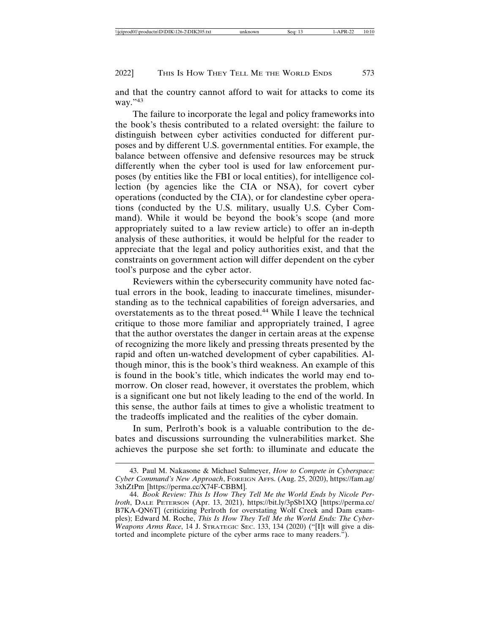and that the country cannot afford to wait for attacks to come its way."43

The failure to incorporate the legal and policy frameworks into the book's thesis contributed to a related oversight: the failure to distinguish between cyber activities conducted for different purposes and by different U.S. governmental entities. For example, the balance between offensive and defensive resources may be struck differently when the cyber tool is used for law enforcement purposes (by entities like the FBI or local entities), for intelligence collection (by agencies like the CIA or NSA), for covert cyber operations (conducted by the CIA), or for clandestine cyber operations (conducted by the U.S. military, usually U.S. Cyber Command). While it would be beyond the book's scope (and more appropriately suited to a law review article) to offer an in-depth analysis of these authorities, it would be helpful for the reader to appreciate that the legal and policy authorities exist, and that the constraints on government action will differ dependent on the cyber tool's purpose and the cyber actor.

Reviewers within the cybersecurity community have noted factual errors in the book, leading to inaccurate timelines, misunderstanding as to the technical capabilities of foreign adversaries, and overstatements as to the threat posed.44 While I leave the technical critique to those more familiar and appropriately trained, I agree that the author overstates the danger in certain areas at the expense of recognizing the more likely and pressing threats presented by the rapid and often un-watched development of cyber capabilities. Although minor, this is the book's third weakness. An example of this is found in the book's title, which indicates the world may end tomorrow. On closer read, however, it overstates the problem, which is a significant one but not likely leading to the end of the world. In this sense, the author fails at times to give a wholistic treatment to the tradeoffs implicated and the realities of the cyber domain.

In sum, Perlroth's book is a valuable contribution to the debates and discussions surrounding the vulnerabilities market. She achieves the purpose she set forth: to illuminate and educate the

<sup>43.</sup> Paul M. Nakasone & Michael Sulmeyer, *How to Compete in Cyberspace: Cyber Command's New Approach*, FOREIGN AFFS. (Aug. 25, 2020), https://fam.ag/ 3xhZtPm [https://perma.cc/X74F-CBBM].

<sup>44.</sup> *Book Review: This Is How They Tell Me the World Ends by Nicole Perlroth*, DALE PETERSON (Apr. 13, 2021), https://bit.ly/3pSb1XQ [https://perma.cc/ B7KA-QN6T] (criticizing Perlroth for overstating Wolf Creek and Dam examples); Edward M. Roche, *This Is How They Tell Me the World Ends: The Cyber-Weapons Arms Race*, 14 J. STRATEGIC SEC. 133, 134 (2020) ("[I]t will give a distorted and incomplete picture of the cyber arms race to many readers.").